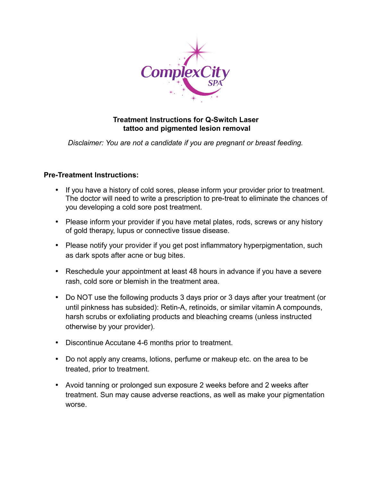

## **Treatment Instructions for Q-Switch Laser tattoo and pigmented lesion removal**

*Disclaimer: You are not a candidate if you are pregnant or breast feeding.*

## **Pre-Treatment Instructions:**

- If you have a history of cold sores, please inform your provider prior to treatment. The doctor will need to write a prescription to pre-treat to eliminate the chances of you developing a cold sore post treatment.
- Please inform your provider if you have metal plates, rods, screws or any history of gold therapy, lupus or connective tissue disease.
- Please notify your provider if you get post inflammatory hyperpigmentation, such as dark spots after acne or bug bites.
- Reschedule your appointment at least 48 hours in advance if you have a severe rash, cold sore or blemish in the treatment area.
- Do NOT use the following products 3 days prior or 3 days after your treatment (or until pinkness has subsided): Retin-A, retinoids, or similar vitamin A compounds, harsh scrubs or exfoliating products and bleaching creams (unless instructed otherwise by your provider).
- Discontinue Accutane 4-6 months prior to treatment.
- Do not apply any creams, lotions, perfume or makeup etc. on the area to be treated, prior to treatment.
- Avoid tanning or prolonged sun exposure 2 weeks before and 2 weeks after treatment. Sun may cause adverse reactions, as well as make your pigmentation worse.